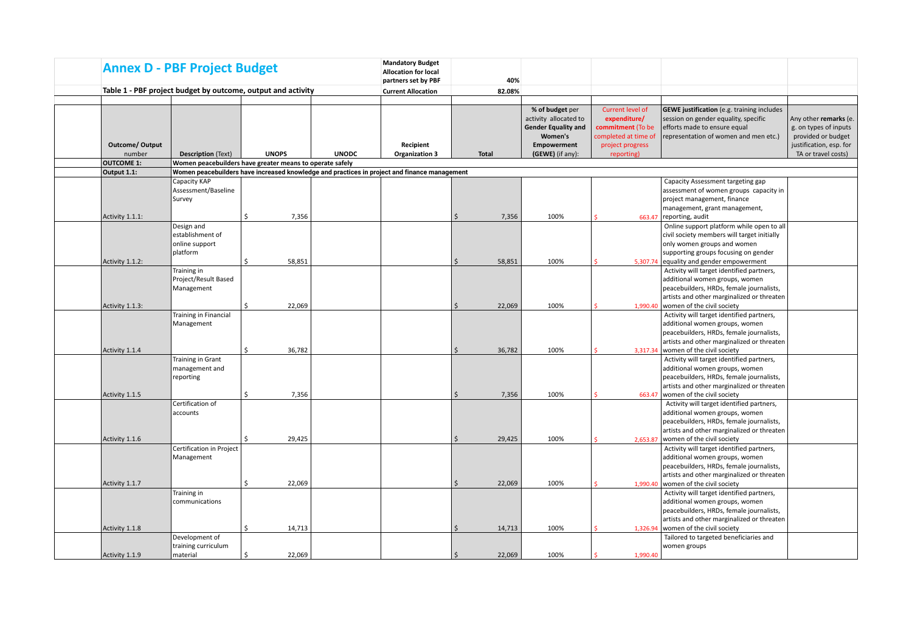|                        | <b>Annex D - PBF Project Budget</b>                          |              |              | <b>Mandatory Budget</b><br><b>Allocation for local</b><br>partners set by PBF                | 40%                          |                                                                                   |                                                                               |                                                                                                                                                                                                     |                                                                                                 |
|------------------------|--------------------------------------------------------------|--------------|--------------|----------------------------------------------------------------------------------------------|------------------------------|-----------------------------------------------------------------------------------|-------------------------------------------------------------------------------|-----------------------------------------------------------------------------------------------------------------------------------------------------------------------------------------------------|-------------------------------------------------------------------------------------------------|
|                        | Table 1 - PBF project budget by outcome, output and activity |              |              | <b>Current Allocation</b>                                                                    | 82.08%                       |                                                                                   |                                                                               |                                                                                                                                                                                                     |                                                                                                 |
|                        |                                                              |              |              |                                                                                              |                              |                                                                                   |                                                                               |                                                                                                                                                                                                     |                                                                                                 |
| <b>Outcome/ Output</b> |                                                              |              |              | Recipient                                                                                    |                              | % of budget per<br>activity allocated to<br><b>Gender Equality and</b><br>Women's | Current level of<br>expenditure/<br>commitment (To be<br>completed at time of | <b>GEWE justification</b> (e.g. training includes<br>session on gender equality, specific<br>efforts made to ensure equal<br>representation of women and men etc.)                                  | Any other remarks (e.<br>g. on types of inputs<br>provided or budget<br>justification, esp. for |
| number                 | <b>Description (Text)</b>                                    | <b>UNOPS</b> | <b>UNODC</b> | <b>Organization 3</b>                                                                        | <b>Total</b>                 | <b>Empowerment</b><br>(GEWE) (if any):                                            | project progress<br>reporting)                                                |                                                                                                                                                                                                     | TA or travel costs)                                                                             |
| <b>OUTCOME 1:</b>      | Women peacebuilders have greater means to operate safely     |              |              |                                                                                              |                              |                                                                                   |                                                                               |                                                                                                                                                                                                     |                                                                                                 |
| Output 1.1:            |                                                              |              |              | Women peacebuilders have increased knowledge and practices in project and finance management |                              |                                                                                   |                                                                               |                                                                                                                                                                                                     |                                                                                                 |
|                        | Capacity KAP<br>Assessment/Baseline<br>Survey                |              |              |                                                                                              |                              |                                                                                   |                                                                               | Capacity Assessment targeting gap<br>assessment of women groups capacity in<br>project management, finance<br>management, grant management,                                                         |                                                                                                 |
| Activity 1.1.1:        |                                                              | 7,356<br>Ś.  |              |                                                                                              | Ś.<br>7,356                  | 100%                                                                              | 663.47                                                                        | reporting, audit                                                                                                                                                                                    |                                                                                                 |
|                        | Design and<br>establishment of<br>online support<br>platform |              |              |                                                                                              |                              |                                                                                   |                                                                               | Online support platform while open to all<br>civil society members will target initially<br>only women groups and women<br>supporting groups focusing on gender                                     |                                                                                                 |
| Activity 1.1.2:        |                                                              | Ś.<br>58,851 |              |                                                                                              | Ś<br>58,851                  | 100%                                                                              | 5,307.74                                                                      | equality and gender empowerment                                                                                                                                                                     |                                                                                                 |
| Activity 1.1.3:        | Training in<br>Project/Result Based<br>Management            | 22,069<br>Ś. |              |                                                                                              | 22,069<br>Ś                  | 100%                                                                              | 1,990.40                                                                      | Activity will target identified partners,<br>additional women groups, women<br>peacebuilders, HRDs, female journalists,<br>artists and other marginalized or threaten<br>women of the civil society |                                                                                                 |
| Activity 1.1.4         | <b>Training in Financial</b><br>Management                   | Ś.<br>36,782 |              |                                                                                              | 36,782<br>Ŝ.                 | 100%                                                                              | 3,317.34                                                                      | Activity will target identified partners,<br>additional women groups, women<br>peacebuilders, HRDs, female journalists,<br>artists and other marginalized or threaten<br>women of the civil society |                                                                                                 |
| Activity 1.1.5         | Training in Grant<br>management and<br>reporting             | 7,356<br>\$  |              |                                                                                              | 7,356<br>$\mathsf{\dot{S}}$  | 100%                                                                              | 663.47                                                                        | Activity will target identified partners,<br>additional women groups, women<br>peacebuilders, HRDs, female journalists,<br>artists and other marginalized or threaten<br>women of the civil society |                                                                                                 |
| Activity 1.1.6         | Certification of<br>accounts                                 | 29,425<br>Ś. |              |                                                                                              | 29,425<br>$\mathsf{\hat{S}}$ | 100%                                                                              | 2,653.87                                                                      | Activity will target identified partners,<br>additional women groups, women<br>peacebuilders, HRDs, female journalists,<br>artists and other marginalized or threaten<br>women of the civil society |                                                                                                 |
| Activity 1.1.7         | Certification in Project<br>Management                       | 22,069<br>Ś. |              |                                                                                              | 22,069<br>$\mathsf{\hat{S}}$ | 100%                                                                              | 1,990.40                                                                      | Activity will target identified partners,<br>additional women groups, women<br>peacebuilders, HRDs, female journalists,<br>artists and other marginalized or threaten<br>women of the civil society |                                                                                                 |
| Activity 1.1.8         | Training in<br>communications                                | Ś.<br>14,713 |              |                                                                                              | 14,713<br>Ŝ.                 | 100%                                                                              | 1,326.94                                                                      | Activity will target identified partners,<br>additional women groups, women<br>peacebuilders, HRDs, female journalists,<br>artists and other marginalized or threaten<br>women of the civil society |                                                                                                 |
| Activity 1.1.9         | Development of<br>training curriculum<br>material            | \$<br>22.069 |              |                                                                                              | 22,069<br>Ŝ.                 | 100%                                                                              | 1.990.40                                                                      | Tailored to targeted beneficiaries and<br>women groups                                                                                                                                              |                                                                                                 |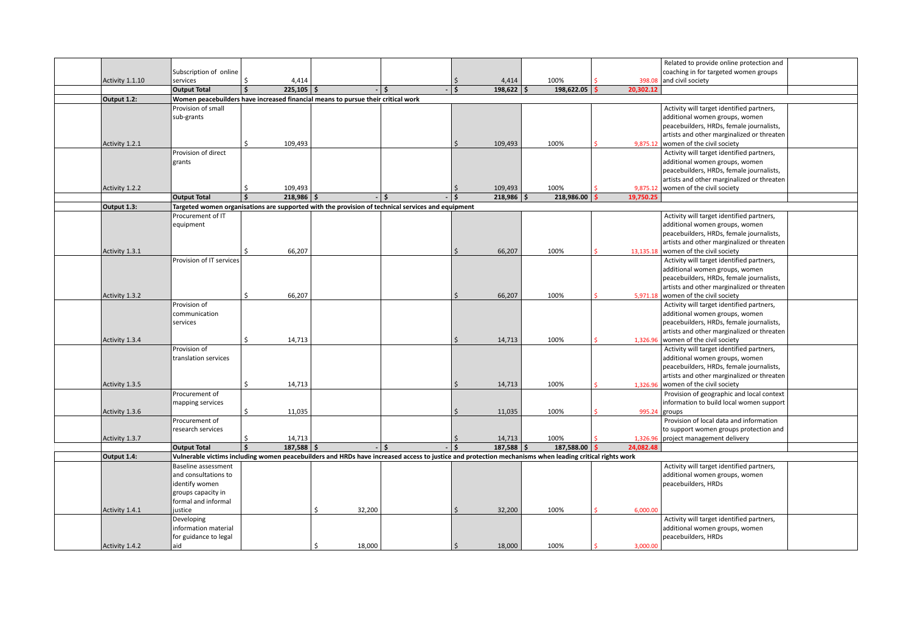|                 |                                     |                      |              |                                                                                  |                                                                                                                                                        |                     |              |            |                       | Related to provide online protection and                                    |  |
|-----------------|-------------------------------------|----------------------|--------------|----------------------------------------------------------------------------------|--------------------------------------------------------------------------------------------------------------------------------------------------------|---------------------|--------------|------------|-----------------------|-----------------------------------------------------------------------------|--|
|                 | Subscription of online              |                      |              |                                                                                  |                                                                                                                                                        |                     |              |            |                       | coaching in for targeted women groups                                       |  |
| Activity 1.1.10 | services                            | ς.                   | 4,414        |                                                                                  |                                                                                                                                                        | Ŝ.                  | 4,414        | 100%       | 398.08                | and civil society                                                           |  |
|                 | <b>Output Total</b>                 |                      | $225,105$ \$ |                                                                                  | $-1$ \$                                                                                                                                                | 5 ا -               | $198,622$ \$ | 198,622.05 | 20,302.12             |                                                                             |  |
| Output 1.2:     |                                     |                      |              | Women peacebuilders have increased financial means to pursue their critical work |                                                                                                                                                        |                     |              |            |                       |                                                                             |  |
|                 | Provision of small                  |                      |              |                                                                                  |                                                                                                                                                        |                     |              |            |                       | Activity will target identified partners,                                   |  |
|                 | sub-grants                          |                      |              |                                                                                  |                                                                                                                                                        |                     |              |            |                       | additional women groups, women                                              |  |
|                 |                                     |                      |              |                                                                                  |                                                                                                                                                        |                     |              |            |                       | peacebuilders, HRDs, female journalists,                                    |  |
|                 |                                     |                      |              |                                                                                  |                                                                                                                                                        |                     |              |            |                       | artists and other marginalized or threaten                                  |  |
| Activity 1.2.1  |                                     | ς.                   | 109,493      |                                                                                  |                                                                                                                                                        |                     | 109,493      | 100%       |                       | 9,875.12 women of the civil society                                         |  |
|                 | Provision of direct                 |                      |              |                                                                                  |                                                                                                                                                        |                     |              |            |                       | Activity will target identified partners,                                   |  |
|                 | grants                              |                      |              |                                                                                  |                                                                                                                                                        |                     |              |            |                       | additional women groups, women                                              |  |
|                 |                                     |                      |              |                                                                                  |                                                                                                                                                        |                     |              |            |                       | peacebuilders, HRDs, female journalists,                                    |  |
|                 |                                     |                      |              |                                                                                  |                                                                                                                                                        |                     |              |            |                       | artists and other marginalized or threaten                                  |  |
| Activity 1.2.2  |                                     |                      | 109,493      |                                                                                  |                                                                                                                                                        |                     | 109,493      | 100%       | 9,875.12              | women of the civil society                                                  |  |
|                 | <b>Output Total</b>                 | $\ddot{\phantom{0}}$ | 218,986      |                                                                                  | $-1$ s                                                                                                                                                 | $\ddot{\mathbf{S}}$ | $218,986$ \$ | 218,986.00 | 19,750.25             |                                                                             |  |
| Output 1.3:     |                                     |                      |              |                                                                                  | Targeted women organisations are supported with the provision of technical services and equipment                                                      |                     |              |            |                       |                                                                             |  |
|                 | Procurement of IT                   |                      |              |                                                                                  |                                                                                                                                                        |                     |              |            |                       | Activity will target identified partners,                                   |  |
|                 | equipment                           |                      |              |                                                                                  |                                                                                                                                                        |                     |              |            |                       | additional women groups, women                                              |  |
|                 |                                     |                      |              |                                                                                  |                                                                                                                                                        |                     |              |            |                       | peacebuilders, HRDs, female journalists,                                    |  |
|                 |                                     |                      |              |                                                                                  |                                                                                                                                                        |                     |              |            |                       | artists and other marginalized or threaten                                  |  |
| Activity 1.3.1  |                                     | ς.                   | 66,207       |                                                                                  |                                                                                                                                                        | Ŝ.                  | 66,207       | 100%       |                       | 13,135.18 women of the civil society                                        |  |
|                 | Provision of IT services            |                      |              |                                                                                  |                                                                                                                                                        |                     |              |            |                       | Activity will target identified partners,                                   |  |
|                 |                                     |                      |              |                                                                                  |                                                                                                                                                        |                     |              |            |                       | additional women groups, women                                              |  |
|                 |                                     |                      |              |                                                                                  |                                                                                                                                                        |                     |              |            |                       | peacebuilders, HRDs, female journalists,                                    |  |
|                 |                                     |                      |              |                                                                                  |                                                                                                                                                        |                     |              |            |                       | artists and other marginalized or threaten                                  |  |
| Activity 1.3.2  |                                     | Ś.                   | 66,207       |                                                                                  |                                                                                                                                                        |                     | 66,207       | 100%       | 5,971.18              | women of the civil society                                                  |  |
|                 | Provision of                        |                      |              |                                                                                  |                                                                                                                                                        |                     |              |            |                       | Activity will target identified partners,                                   |  |
|                 | communication                       |                      |              |                                                                                  |                                                                                                                                                        |                     |              |            |                       | additional women groups, women                                              |  |
|                 | services                            |                      |              |                                                                                  |                                                                                                                                                        |                     |              |            |                       | peacebuilders, HRDs, female journalists,                                    |  |
|                 |                                     |                      |              |                                                                                  |                                                                                                                                                        |                     |              |            |                       | artists and other marginalized or threaten                                  |  |
| Activity 1.3.4  |                                     | Ś.                   | 14,713       |                                                                                  |                                                                                                                                                        |                     | 14,713       | 100%       | 1,326.96              | women of the civil society                                                  |  |
|                 | Provision of                        |                      |              |                                                                                  |                                                                                                                                                        |                     |              |            |                       | Activity will target identified partners,                                   |  |
|                 | translation services                |                      |              |                                                                                  |                                                                                                                                                        |                     |              |            |                       | additional women groups, women                                              |  |
|                 |                                     |                      |              |                                                                                  |                                                                                                                                                        |                     |              |            |                       | peacebuilders, HRDs, female journalists,                                    |  |
|                 |                                     | Ś.                   |              |                                                                                  |                                                                                                                                                        |                     |              |            |                       | artists and other marginalized or threaten                                  |  |
| Activity 1.3.5  |                                     |                      | 14,713       |                                                                                  |                                                                                                                                                        |                     | 14,713       | 100%       | 1,326.96              | women of the civil society                                                  |  |
|                 | Procurement of                      |                      |              |                                                                                  |                                                                                                                                                        |                     |              |            |                       | Provision of geographic and local context                                   |  |
|                 | mapping services                    | Ś.                   |              |                                                                                  |                                                                                                                                                        |                     |              |            |                       | information to build local women support                                    |  |
| Activity 1.3.6  |                                     |                      | 11,035       |                                                                                  |                                                                                                                                                        |                     | 11,035       | 100%       | 995.24                | groups<br>Provision of local data and information                           |  |
|                 | Procurement of<br>research services |                      |              |                                                                                  |                                                                                                                                                        |                     |              |            |                       | to support women groups protection and                                      |  |
|                 |                                     |                      | 14,713       |                                                                                  |                                                                                                                                                        |                     | 14,713       | 100%       |                       |                                                                             |  |
| Activity 1.3.7  | <b>Output Total</b>                 | Ś                    | $187,588$ \$ |                                                                                  | $-1$ s                                                                                                                                                 | $\dot{\mathsf{s}}$  | $187,588$ \$ | 187,588.00 | 1,326.96<br>24.082.48 | project management delivery                                                 |  |
| Output 1.4:     |                                     |                      |              |                                                                                  | Vulnerable victims including women peacebuilders and HRDs have increased access to justice and protection mechanisms when leading critical rights work |                     |              |            |                       |                                                                             |  |
|                 | Baseline assessment                 |                      |              |                                                                                  |                                                                                                                                                        |                     |              |            |                       |                                                                             |  |
|                 | and consultations to                |                      |              |                                                                                  |                                                                                                                                                        |                     |              |            |                       | Activity will target identified partners,<br>additional women groups, women |  |
|                 | identify women                      |                      |              |                                                                                  |                                                                                                                                                        |                     |              |            |                       | peacebuilders, HRDs                                                         |  |
|                 | groups capacity in                  |                      |              |                                                                                  |                                                                                                                                                        |                     |              |            |                       |                                                                             |  |
|                 | formal and informal                 |                      |              |                                                                                  |                                                                                                                                                        |                     |              |            |                       |                                                                             |  |
| Activity 1.4.1  | justice                             |                      |              | 32,200<br>ς.                                                                     |                                                                                                                                                        |                     | 32,200       | 100%       | 6.000.00              |                                                                             |  |
|                 | Developing                          |                      |              |                                                                                  |                                                                                                                                                        |                     |              |            |                       | Activity will target identified partners,                                   |  |
|                 | information material                |                      |              |                                                                                  |                                                                                                                                                        |                     |              |            |                       | additional women groups, women                                              |  |
|                 | for guidance to legal               |                      |              |                                                                                  |                                                                                                                                                        |                     |              |            |                       | peacebuilders, HRDs                                                         |  |
| Activity 1.4.2  | aid                                 |                      |              | Ś<br>18,000                                                                      |                                                                                                                                                        | $\zeta$             | 18,000       | 100%       | 3,000.00              |                                                                             |  |
|                 |                                     |                      |              |                                                                                  |                                                                                                                                                        |                     |              |            |                       |                                                                             |  |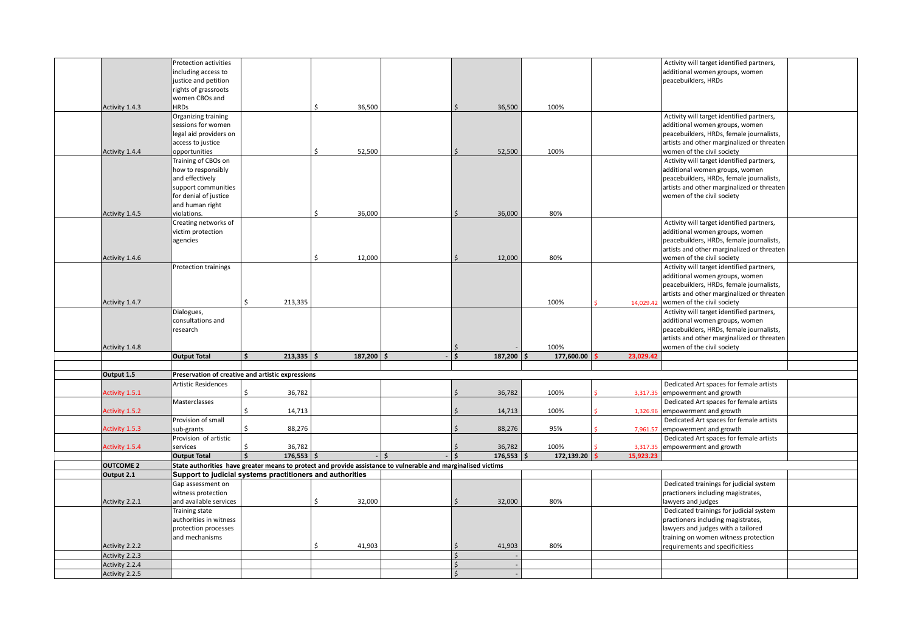|                  | Protection activities                                     |                    |              |               |              |                                                                                                               |                    |              |            |           | Activity will target identified partners,                                  |  |
|------------------|-----------------------------------------------------------|--------------------|--------------|---------------|--------------|---------------------------------------------------------------------------------------------------------------|--------------------|--------------|------------|-----------|----------------------------------------------------------------------------|--|
|                  | including access to                                       |                    |              |               |              |                                                                                                               |                    |              |            |           | additional women groups, women                                             |  |
|                  | justice and petition                                      |                    |              |               |              |                                                                                                               |                    |              |            |           | peacebuilders, HRDs                                                        |  |
|                  | rights of grassroots                                      |                    |              |               |              |                                                                                                               |                    |              |            |           |                                                                            |  |
|                  | women CBOs and                                            |                    |              |               |              |                                                                                                               |                    |              |            |           |                                                                            |  |
| Activity 1.4.3   | <b>HRDs</b>                                               |                    |              | <sup>5</sup>  | 36,500       |                                                                                                               | ς.                 | 36,500       | 100%       |           |                                                                            |  |
|                  | Organizing training                                       |                    |              |               |              |                                                                                                               |                    |              |            |           | Activity will target identified partners,                                  |  |
|                  | sessions for women                                        |                    |              |               |              |                                                                                                               |                    |              |            |           |                                                                            |  |
|                  | legal aid providers on                                    |                    |              |               |              |                                                                                                               |                    |              |            |           | additional women groups, women<br>peacebuilders, HRDs, female journalists, |  |
|                  |                                                           |                    |              |               |              |                                                                                                               |                    |              |            |           |                                                                            |  |
| Activity 1.4.4   | access to justice                                         |                    |              | $\zeta$       | 52,500       |                                                                                                               | Ś.                 | 52,500       | 100%       |           | artists and other marginalized or threaten<br>women of the civil society   |  |
|                  | opportunities                                             |                    |              |               |              |                                                                                                               |                    |              |            |           |                                                                            |  |
|                  | Training of CBOs on                                       |                    |              |               |              |                                                                                                               |                    |              |            |           | Activity will target identified partners,                                  |  |
|                  | how to responsibly                                        |                    |              |               |              |                                                                                                               |                    |              |            |           | additional women groups, women                                             |  |
|                  | and effectively                                           |                    |              |               |              |                                                                                                               |                    |              |            |           | peacebuilders, HRDs, female journalists,                                   |  |
|                  | support communities                                       |                    |              |               |              |                                                                                                               |                    |              |            |           | artists and other marginalized or threaten                                 |  |
|                  | for denial of justice                                     |                    |              |               |              |                                                                                                               |                    |              |            |           | women of the civil society                                                 |  |
|                  | and human right                                           |                    |              | $\zeta$       |              |                                                                                                               |                    |              |            |           |                                                                            |  |
| Activity 1.4.5   | violations.                                               |                    |              |               | 36,000       |                                                                                                               | $\zeta$            | 36,000       | 80%        |           |                                                                            |  |
|                  | Creating networks of                                      |                    |              |               |              |                                                                                                               |                    |              |            |           | Activity will target identified partners,                                  |  |
|                  | victim protection                                         |                    |              |               |              |                                                                                                               |                    |              |            |           | additional women groups, women                                             |  |
|                  | agencies                                                  |                    |              |               |              |                                                                                                               |                    |              |            |           | peacebuilders, HRDs, female journalists,                                   |  |
|                  |                                                           |                    |              |               |              |                                                                                                               |                    |              |            |           | artists and other marginalized or threaten                                 |  |
| Activity 1.4.6   |                                                           |                    |              | <sup>\$</sup> | 12,000       |                                                                                                               | $\zeta$            | 12,000       | 80%        |           | women of the civil society                                                 |  |
|                  | Protection trainings                                      |                    |              |               |              |                                                                                                               |                    |              |            |           | Activity will target identified partners,                                  |  |
|                  |                                                           |                    |              |               |              |                                                                                                               |                    |              |            |           | additional women groups, women                                             |  |
|                  |                                                           |                    |              |               |              |                                                                                                               |                    |              |            |           | peacebuilders, HRDs, female journalists,                                   |  |
|                  |                                                           |                    |              |               |              |                                                                                                               |                    |              |            |           | artists and other marginalized or threaten                                 |  |
| Activity 1.4.7   |                                                           | \$                 | 213,335      |               |              |                                                                                                               |                    |              | 100%       | 14,029.42 | women of the civil society                                                 |  |
|                  | Dialogues,                                                |                    |              |               |              |                                                                                                               |                    |              |            |           | Activity will target identified partners,                                  |  |
|                  | consultations and                                         |                    |              |               |              |                                                                                                               |                    |              |            |           | additional women groups, women                                             |  |
|                  | research                                                  |                    |              |               |              |                                                                                                               |                    |              |            |           | peacebuilders, HRDs, female journalists,                                   |  |
|                  |                                                           |                    |              |               |              |                                                                                                               |                    |              |            |           | artists and other marginalized or threaten                                 |  |
| Activity 1.4.8   |                                                           |                    |              |               |              |                                                                                                               |                    |              | 100%       |           | women of the civil society                                                 |  |
|                  | <b>Output Total</b>                                       | \$                 | $213,335$ \$ |               | $187,200$ \$ |                                                                                                               | Ś.                 | $187,200$ \$ | 177,600.00 | 23,029.42 |                                                                            |  |
|                  |                                                           |                    |              |               |              |                                                                                                               |                    |              |            |           |                                                                            |  |
| Output 1.5       | Preservation of creative and artistic expressions         |                    |              |               |              |                                                                                                               |                    |              |            |           |                                                                            |  |
|                  | <b>Artistic Residences</b>                                |                    |              |               |              |                                                                                                               |                    |              |            |           | Dedicated Art spaces for female artists                                    |  |
| Activity 1.5.1   |                                                           | \$                 | 36,782       |               |              |                                                                                                               | \$                 | 36,782       | 100%       | 3,317.35  | empowerment and growth                                                     |  |
|                  | Masterclasses                                             |                    |              |               |              |                                                                                                               |                    |              |            |           | Dedicated Art spaces for female artists                                    |  |
| Activity 1.5.2   |                                                           | \$                 | 14,713       |               |              |                                                                                                               | Ś.                 | 14,713       | 100%       | 1,326.96  | empowerment and growth                                                     |  |
|                  | Provision of small                                        |                    |              |               |              |                                                                                                               |                    |              |            |           | Dedicated Art spaces for female artists                                    |  |
| Activity 1.5.3   | sub-grants                                                | Ŝ.                 | 88,276       |               |              |                                                                                                               | $\zeta$            | 88,276       | 95%        |           | 7,961.57 empowerment and growth                                            |  |
|                  | Provision of artistic                                     |                    |              |               |              |                                                                                                               |                    |              |            |           | Dedicated Art spaces for female artists                                    |  |
| Activity 1.5.4   | services                                                  | $\mathsf{\hat{S}}$ | 36,782       |               |              |                                                                                                               |                    | 36,782       | 100%       | 3.317.35  | empowerment and growth                                                     |  |
|                  | <b>Output Total</b>                                       | $\dot{\mathsf{s}}$ | $176,553$ \$ |               |              | $-1$ s                                                                                                        | 5 ا -              | $176,553$ \$ | 172,139.20 | 15,923.23 |                                                                            |  |
| <b>OUTCOME 2</b> |                                                           |                    |              |               |              | State authorities have greater means to protect and provide assistance to vulnerable and marginalised victims |                    |              |            |           |                                                                            |  |
| Output 2.1       | Support to judicial systems practitioners and authorities |                    |              |               |              |                                                                                                               |                    |              |            |           |                                                                            |  |
|                  | Gap assessment on                                         |                    |              |               |              |                                                                                                               |                    |              |            |           | Dedicated trainings for judicial system                                    |  |
|                  | witness protection                                        |                    |              |               |              |                                                                                                               |                    |              |            |           | practioners including magistrates,                                         |  |
| Activity 2.2.1   | and available services                                    |                    |              | \$            | 32,000       |                                                                                                               | Ś.                 | 32,000       | 80%        |           | lawyers and judges                                                         |  |
|                  | Training state                                            |                    |              |               |              |                                                                                                               |                    |              |            |           | Dedicated trainings for judicial system                                    |  |
|                  | authorities in witness                                    |                    |              |               |              |                                                                                                               |                    |              |            |           | practioners including magistrates,                                         |  |
|                  | protection processes                                      |                    |              |               |              |                                                                                                               |                    |              |            |           | lawyers and judges with a tailored                                         |  |
|                  | and mechanisms                                            |                    |              |               |              |                                                                                                               |                    |              |            |           | training on women witness protection                                       |  |
| Activity 2.2.2   |                                                           |                    |              | \$            | 41,903       |                                                                                                               |                    | 41,903       | 80%        |           | requirements and specificitiess                                            |  |
| Activity 2.2.3   |                                                           |                    |              |               |              |                                                                                                               | $\dot{\mathsf{S}}$ |              |            |           |                                                                            |  |
| Activity 2.2.4   |                                                           |                    |              |               |              |                                                                                                               | $\mathsf{S}$       |              |            |           |                                                                            |  |
| Activity 2.2.5   |                                                           |                    |              |               |              |                                                                                                               | $\mathsf{S}$       |              |            |           |                                                                            |  |
|                  |                                                           |                    |              |               |              |                                                                                                               |                    |              |            |           |                                                                            |  |